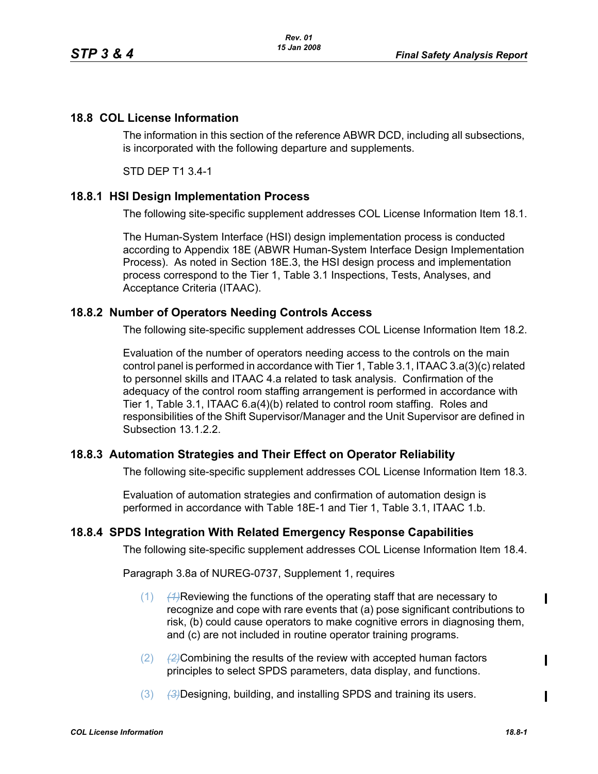### **18.8 COL License Information**

The information in this section of the reference ABWR DCD, including all subsections, is incorporated with the following departure and supplements.

STD DEP T1 3.4-1

### **18.8.1 HSI Design Implementation Process**

The following site-specific supplement addresses COL License Information Item 18.1.

The Human-System Interface (HSI) design implementation process is conducted according to Appendix 18E (ABWR Human-System Interface Design Implementation Process). As noted in Section 18E.3, the HSI design process and implementation process correspond to the Tier 1, Table 3.1 Inspections, Tests, Analyses, and Acceptance Criteria (ITAAC).

### **18.8.2 Number of Operators Needing Controls Access**

The following site-specific supplement addresses COL License Information Item 18.2.

Evaluation of the number of operators needing access to the controls on the main control panel is performed in accordance with Tier 1, Table 3.1, ITAAC 3.a(3)(c) related to personnel skills and ITAAC 4.a related to task analysis. Confirmation of the adequacy of the control room staffing arrangement is performed in accordance with Tier 1, Table 3.1, ITAAC 6.a(4)(b) related to control room staffing. Roles and responsibilities of the Shift Supervisor/Manager and the Unit Supervisor are defined in Subsection 13.1.2.2.

# **18.8.3 Automation Strategies and Their Effect on Operator Reliability**

The following site-specific supplement addresses COL License Information Item 18.3.

Evaluation of automation strategies and confirmation of automation design is performed in accordance with Table 18E-1 and Tier 1, Table 3.1, ITAAC 1.b.

### **18.8.4 SPDS Integration With Related Emergency Response Capabilities**

The following site-specific supplement addresses COL License Information Item 18.4.

Paragraph 3.8a of NUREG-0737, Supplement 1, requires

- (1) *(1)*Reviewing the functions of the operating staff that are necessary to recognize and cope with rare events that (a) pose significant contributions to risk, (b) could cause operators to make cognitive errors in diagnosing them, and (c) are not included in routine operator training programs.
- (2) *(2)*Combining the results of the review with accepted human factors principles to select SPDS parameters, data display, and functions.
- (3) *(3)*Designing, building, and installing SPDS and training its users.

 $\mathbf I$ 

 $\mathbf I$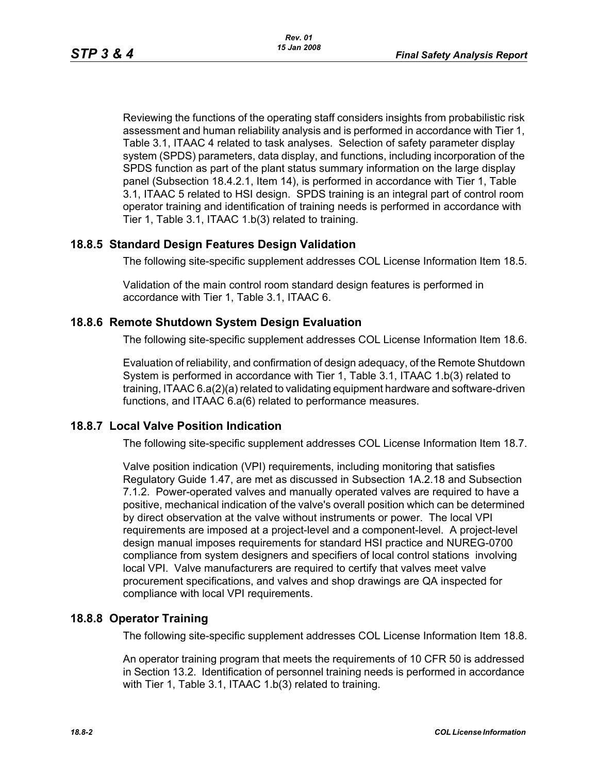Reviewing the functions of the operating staff considers insights from probabilistic risk assessment and human reliability analysis and is performed in accordance with Tier 1, Table 3.1, ITAAC 4 related to task analyses. Selection of safety parameter display system (SPDS) parameters, data display, and functions, including incorporation of the SPDS function as part of the plant status summary information on the large display panel (Subsection 18.4.2.1, Item 14), is performed in accordance with Tier 1, Table 3.1, ITAAC 5 related to HSI design. SPDS training is an integral part of control room operator training and identification of training needs is performed in accordance with Tier 1, Table 3.1, ITAAC 1.b(3) related to training.

### **18.8.5 Standard Design Features Design Validation**

The following site-specific supplement addresses COL License Information Item 18.5.

Validation of the main control room standard design features is performed in accordance with Tier 1, Table 3.1, ITAAC 6.

### **18.8.6 Remote Shutdown System Design Evaluation**

The following site-specific supplement addresses COL License Information Item 18.6.

Evaluation of reliability, and confirmation of design adequacy, of the Remote Shutdown System is performed in accordance with Tier 1, Table 3.1, ITAAC 1.b(3) related to training, ITAAC 6.a(2)(a) related to validating equipment hardware and software-driven functions, and ITAAC 6.a(6) related to performance measures.

# **18.8.7 Local Valve Position Indication**

The following site-specific supplement addresses COL License Information Item 18.7.

Valve position indication (VPI) requirements, including monitoring that satisfies Regulatory Guide 1.47, are met as discussed in Subsection 1A.2.18 and Subsection 7.1.2. Power-operated valves and manually operated valves are required to have a positive, mechanical indication of the valve's overall position which can be determined by direct observation at the valve without instruments or power. The local VPI requirements are imposed at a project-level and a component-level. A project-level design manual imposes requirements for standard HSI practice and NUREG-0700 compliance from system designers and specifiers of local control stations involving local VPI. Valve manufacturers are required to certify that valves meet valve procurement specifications, and valves and shop drawings are QA inspected for compliance with local VPI requirements.

# **18.8.8 Operator Training**

The following site-specific supplement addresses COL License Information Item 18.8.

An operator training program that meets the requirements of 10 CFR 50 is addressed in Section 13.2. Identification of personnel training needs is performed in accordance with Tier 1, Table 3.1, ITAAC 1.b(3) related to training.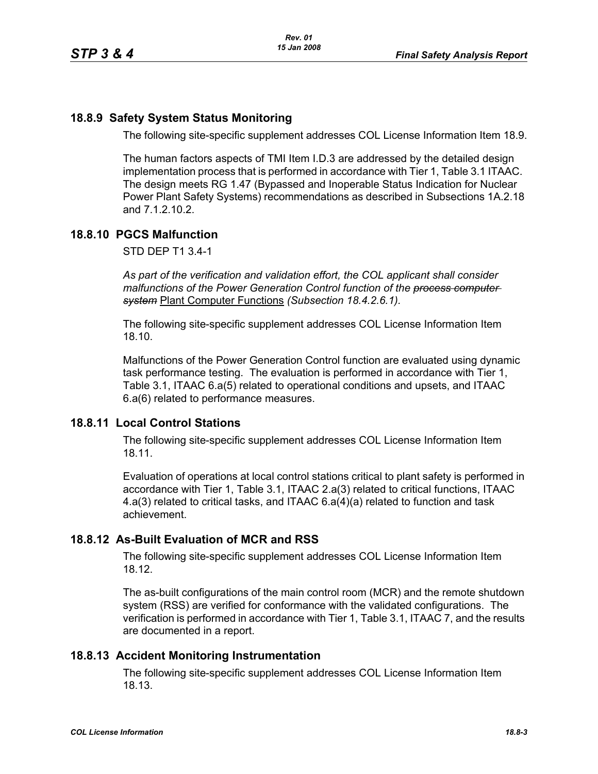# **18.8.9 Safety System Status Monitoring**

The following site-specific supplement addresses COL License Information Item 18.9.

The human factors aspects of TMI Item I.D.3 are addressed by the detailed design implementation process that is performed in accordance with Tier 1, Table 3.1 ITAAC. The design meets RG 1.47 (Bypassed and Inoperable Status Indication for Nuclear Power Plant Safety Systems) recommendations as described in Subsections 1A.2.18 and 7.1.2.10.2.

### **18.8.10 PGCS Malfunction**

STD DEP T1 3.4-1

*As part of the verification and validation effort, the COL applicant shall consider malfunctions of the Power Generation Control function of the process computer system* Plant Computer Functions *(Subsection 18.4.2.6.1).*

The following site-specific supplement addresses COL License Information Item 18.10.

Malfunctions of the Power Generation Control function are evaluated using dynamic task performance testing. The evaluation is performed in accordance with Tier 1, Table 3.1, ITAAC 6.a(5) related to operational conditions and upsets, and ITAAC 6.a(6) related to performance measures.

### **18.8.11 Local Control Stations**

The following site-specific supplement addresses COL License Information Item 18.11.

Evaluation of operations at local control stations critical to plant safety is performed in accordance with Tier 1, Table 3.1, ITAAC 2.a(3) related to critical functions, ITAAC 4.a(3) related to critical tasks, and ITAAC 6.a(4)(a) related to function and task achievement.

# **18.8.12 As-Built Evaluation of MCR and RSS**

The following site-specific supplement addresses COL License Information Item 18.12.

The as-built configurations of the main control room (MCR) and the remote shutdown system (RSS) are verified for conformance with the validated configurations. The verification is performed in accordance with Tier 1, Table 3.1, ITAAC 7, and the results are documented in a report.

### **18.8.13 Accident Monitoring Instrumentation**

The following site-specific supplement addresses COL License Information Item 18.13.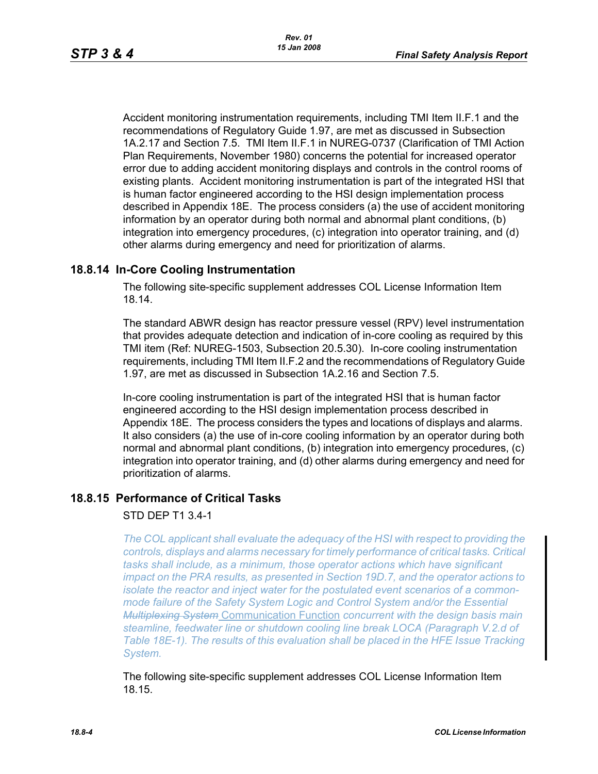Accident monitoring instrumentation requirements, including TMI Item II.F.1 and the recommendations of Regulatory Guide 1.97, are met as discussed in Subsection 1A.2.17 and Section 7.5. TMI Item II.F.1 in NUREG-0737 (Clarification of TMI Action Plan Requirements, November 1980) concerns the potential for increased operator error due to adding accident monitoring displays and controls in the control rooms of existing plants. Accident monitoring instrumentation is part of the integrated HSI that is human factor engineered according to the HSI design implementation process described in Appendix 18E. The process considers (a) the use of accident monitoring information by an operator during both normal and abnormal plant conditions, (b) integration into emergency procedures, (c) integration into operator training, and (d) other alarms during emergency and need for prioritization of alarms.

# **18.8.14 In-Core Cooling Instrumentation**

The following site-specific supplement addresses COL License Information Item 18.14.

The standard ABWR design has reactor pressure vessel (RPV) level instrumentation that provides adequate detection and indication of in-core cooling as required by this TMI item (Ref: NUREG-1503, Subsection 20.5.30). In-core cooling instrumentation requirements, including TMI Item II.F.2 and the recommendations of Regulatory Guide 1.97, are met as discussed in Subsection 1A.2.16 and Section 7.5.

In-core cooling instrumentation is part of the integrated HSI that is human factor engineered according to the HSI design implementation process described in Appendix 18E. The process considers the types and locations of displays and alarms. It also considers (a) the use of in-core cooling information by an operator during both normal and abnormal plant conditions, (b) integration into emergency procedures, (c) integration into operator training, and (d) other alarms during emergency and need for prioritization of alarms.

### **18.8.15 Performance of Critical Tasks**

### STD DEP T1 3.4-1

*The COL applicant shall evaluate the adequacy of the HSI with respect to providing the controls, displays and alarms necessary for timely performance of critical tasks. Critical tasks shall include, as a minimum, those operator actions which have significant impact on the PRA results, as presented in Section 19D.7, and the operator actions to isolate the reactor and inject water for the postulated event scenarios of a commonmode failure of the Safety System Logic and Control System and/or the Essential Multiplexing System* Communication Function *concurrent with the design basis main steamline, feedwater line or shutdown cooling line break LOCA (Paragraph V.2.d of Table 18E-1). The results of this evaluation shall be placed in the HFE Issue Tracking System.*

The following site-specific supplement addresses COL License Information Item 18.15.